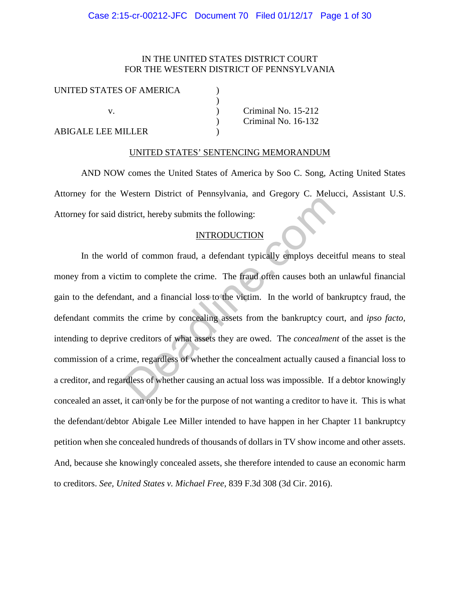## Case 2:15-cr-00212-JFC Document 70 Filed 01/12/17 Page 1 of 30

# IN THE UNITED STATES DISTRICT COURT FOR THE WESTERN DISTRICT OF PENNSYLVANIA

| UNITED STATES OF AMERICA |                     |
|--------------------------|---------------------|
|                          |                     |
|                          | Criminal No. 15-212 |
|                          | Criminal No. 16-132 |
| ABIGALE LEE MILLER       |                     |

### UNITED STATES' SENTENCING MEMORANDUM

AND NOW comes the United States of America by Soo C. Song, Acting United States Attorney for the Western District of Pennsylvania, and Gregory C. Melucci, Assistant U.S. Attorney for said district, hereby submits the following:

## **INTRODUCTION**

In the world of common fraud, a defendant typically employs deceitful means to steal money from a victim to complete the crime. The fraud often causes both an unlawful financial gain to the defendant, and a financial loss to the victim. In the world of bankruptcy fraud, the defendant commits the crime by concealing assets from the bankruptcy court, and *ipso facto,*  intending to deprive creditors of what assets they are owed. The *concealment* of the asset is the commission of a crime, regardless of whether the concealment actually caused a financial loss to a creditor, and regardless of whether causing an actual loss was impossible. If a debtor knowingly concealed an asset, it can only be for the purpose of not wanting a creditor to have it. This is what the defendant/debtor Abigale Lee Miller intended to have happen in her Chapter 11 bankruptcy petition when she concealed hundreds of thousands of dollars in TV show income and other assets. And, because she knowingly concealed assets, she therefore intended to cause an economic harm to creditors. *See, United States v. Michael Free*, 839 F.3d 308 (3d Cir. 2016). Institute of Tellis Javannes, and Stegery of Tellis<br>Institute, hereby submits the following:<br>INTRODUCTION<br>do for common fraud, a defendant typically employs decei<br>im to complete the crime. The fraud often causes both an<br>an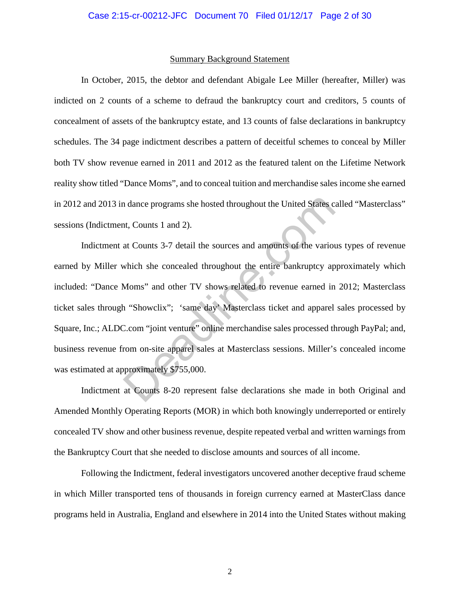#### Summary Background Statement

In October, 2015, the debtor and defendant Abigale Lee Miller (hereafter, Miller) was indicted on 2 counts of a scheme to defraud the bankruptcy court and creditors, 5 counts of concealment of assets of the bankruptcy estate, and 13 counts of false declarations in bankruptcy schedules. The 34 page indictment describes a pattern of deceitful schemes to conceal by Miller both TV show revenue earned in 2011 and 2012 as the featured talent on the Lifetime Network reality show titled "Dance Moms", and to conceal tuition and merchandise sales income she earned in 2012 and 2013 in dance programs she hosted throughout the United States called "Masterclass" sessions (Indictment, Counts 1 and 2).

Indictment at Counts 3-7 detail the sources and amounts of the various types of revenue earned by Miller which she concealed throughout the entire bankruptcy approximately which included: "Dance Moms" and other TV shows related to revenue earned in 2012; Masterclass ticket sales through "Showclix"; 'same day' Masterclass ticket and apparel sales processed by Square, Inc.; ALDC.com "joint venture" online merchandise sales processed through PayPal; and, business revenue from on-site apparel sales at Masterclass sessions. Miller's concealed income was estimated at approximately \$755,000. n dance programs she hosted throughout the United States c<br>t, Counts 1 and 2).<br>at Counts 3-7 detail the sources and amounts of the various<br>which she concealed throughout the entire bankruptcy ap<br>Moms" and other TV shows re

Indictment at Counts 8-20 represent false declarations she made in both Original and Amended Monthly Operating Reports (MOR) in which both knowingly underreported or entirely concealed TV show and other business revenue, despite repeated verbal and written warnings from the Bankruptcy Court that she needed to disclose amounts and sources of all income.

Following the Indictment, federal investigators uncovered another deceptive fraud scheme in which Miller transported tens of thousands in foreign currency earned at MasterClass dance programs held in Australia, England and elsewhere in 2014 into the United States without making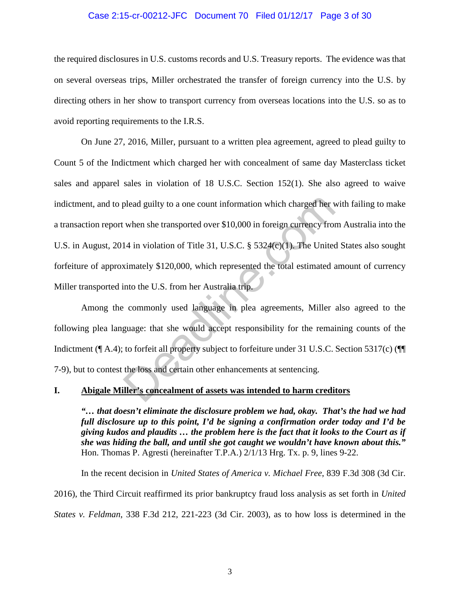### Case 2:15-cr-00212-JFC Document 70 Filed 01/12/17 Page 3 of 30

the required disclosures in U.S. customs records and U.S. Treasury reports. The evidence was that on several overseas trips, Miller orchestrated the transfer of foreign currency into the U.S. by directing others in her show to transport currency from overseas locations into the U.S. so as to avoid reporting requirements to the I.R.S.

On June 27, 2016, Miller, pursuant to a written plea agreement, agreed to plead guilty to Count 5 of the Indictment which charged her with concealment of same day Masterclass ticket sales and apparel sales in violation of 18 U.S.C. Section 152(1). She also agreed to waive indictment, and to plead guilty to a one count information which charged her with failing to make a transaction report when she transported over \$10,000 in foreign currency from Australia into the U.S. in August, 2014 in violation of Title 31, U.S.C. § 5324(c)(1). The United States also sought forfeiture of approximately \$120,000, which represented the total estimated amount of currency Miller transported into the U.S. from her Australia trip. plead guilty to a one count information which charged her v<br>when she transported over \$10,000 in foreign currency from<br>14 in violation of Title 31, U.S.C. § 5324(c)(1). The United<br>ximately \$120,000, which represented the t

Among the commonly used language in plea agreements, Miller also agreed to the following plea language: that she would accept responsibility for the remaining counts of the Indictment (¶ A.4); to forfeit all property subject to forfeiture under 31 U.S.C. Section 5317(c) (¶¶ 7-9), but to contest the loss and certain other enhancements at sentencing.

## **I. Abigale Miller's concealment of assets was intended to harm creditors**

*"… that doesn't eliminate the disclosure problem we had, okay. That's the had we had full disclosure up to this point, I'd be signing a confirmation order today and I'd be giving kudos and plaudits … the problem here is the fact that it looks to the Court as if she was hiding the ball, and until she got caught we wouldn't have known about this."* Hon. Thomas P. Agresti (hereinafter T.P.A.) 2/1/13 Hrg. Tx. p. 9, lines 9-22.

In the recent decision in *United States of America v. Michael Free*, 839 F.3d 308 (3d Cir. 2016), the Third Circuit reaffirmed its prior bankruptcy fraud loss analysis as set forth in *United States v. Feldman*, 338 F.3d 212, 221-223 (3d Cir. 2003), as to how loss is determined in the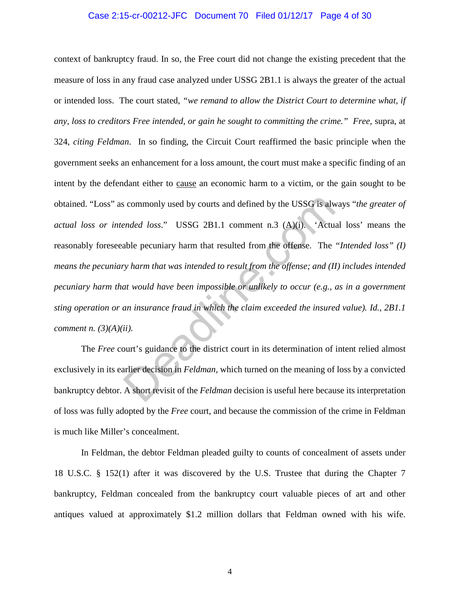### Case 2:15-cr-00212-JFC Document 70 Filed 01/12/17 Page 4 of 30

context of bankruptcy fraud. In so, the Free court did not change the existing precedent that the measure of loss in any fraud case analyzed under USSG 2B1.1 is always the greater of the actual or intended loss. The court stated, *"we remand to allow the District Court to determine what, if any, loss to creditors Free intended, or gain he sought to committing the crime." Free*, supra, at 324, *citing Feldman*. In so finding, the Circuit Court reaffirmed the basic principle when the government seeks an enhancement for a loss amount, the court must make a specific finding of an intent by the defendant either to cause an economic harm to a victim, or the gain sought to be obtained. "Loss" as commonly used by courts and defined by the USSG is always "*the greater of actual loss or intended loss*." USSG 2B1.1 comment n.3 (A)(i). 'Actual loss' means the reasonably foreseeable pecuniary harm that resulted from the offense. The *"Intended loss" (I) means the pecuniary harm that was intended to result from the offense; and (II) includes intended pecuniary harm that would have been impossible or unlikely to occur (e.g., as in a government sting operation or an insurance fraud in which the claim exceeded the insured value). Id., 2B1.1 comment n. (3)(A)(ii).* is commonly used by courts and defined by the USSG is alwerded loss." USSG 2B1.1 comment n.3 (A)(i). 'Actually pecuniary harm that resulted from the offense. The ry harm that was intended to result from the offense; and (I

 The *Free* court's guidance to the district court in its determination of intent relied almost exclusively in its earlier decision in *Feldman,* which turned on the meaning of loss by a convicted bankruptcy debtor. A short revisit of the *Feldman* decision is useful here because its interpretation of loss was fully adopted by the *Free* court, and because the commission of the crime in Feldman is much like Miller's concealment.

In Feldman, the debtor Feldman pleaded guilty to counts of concealment of assets under 18 U.S.C. § 152(1) after it was discovered by the U.S. Trustee that during the Chapter 7 bankruptcy, Feldman concealed from the bankruptcy court valuable pieces of art and other antiques valued at approximately \$1.2 million dollars that Feldman owned with his wife.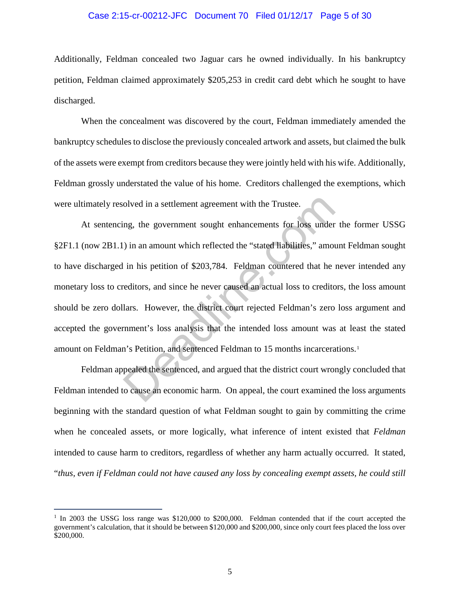### Case 2:15-cr-00212-JFC Document 70 Filed 01/12/17 Page 5 of 30

Additionally, Feldman concealed two Jaguar cars he owned individually. In his bankruptcy petition, Feldman claimed approximately \$205,253 in credit card debt which he sought to have discharged.

When the concealment was discovered by the court, Feldman immediately amended the bankruptcy schedules to disclose the previously concealed artwork and assets, but claimed the bulk of the assets were exempt from creditors because they were jointly held with his wife. Additionally, Feldman grossly understated the value of his home. Creditors challenged the exemptions, which were ultimately resolved in a settlement agreement with the Trustee.

At sentencing, the government sought enhancements for loss under the former USSG §2F1.1 (now 2B1.1) in an amount which reflected the "stated liabilities," amount Feldman sought to have discharged in his petition of \$203,784. Feldman countered that he never intended any monetary loss to creditors, and since he never caused an actual loss to creditors, the loss amount should be zero dollars. However, the district court rejected Feldman's zero loss argument and accepted the government's loss analysis that the intended loss amount was at least the stated amount on Feldman's Petition, and sentenced Feldman to 15 months incarcerations.[1](#page-4-0) olved in a settlement agreement with the Trustee.<br>
ng, the government sought enhancements for loss under<br>
) in an amount which reflected the "stated liabilities," amount<br>
in his petition of \$203,784. Feldman countered that

Feldman appealed the sentenced, and argued that the district court wrongly concluded that Feldman intended to cause an economic harm. On appeal, the court examined the loss arguments beginning with the standard question of what Feldman sought to gain by committing the crime when he concealed assets, or more logically, what inference of intent existed that *Feldman* intended to cause harm to creditors, regardless of whether any harm actually occurred. It stated, "*thus, even if Feldman could not have caused any loss by concealing exempt assets, he could still* 

<span id="page-4-0"></span><sup>&</sup>lt;sup>1</sup> In 2003 the USSG loss range was \$120,000 to \$200,000. Feldman contended that if the court accepted the government's calculation, that it should be between \$120,000 and \$200,000, since only court fees placed the loss over \$200,000.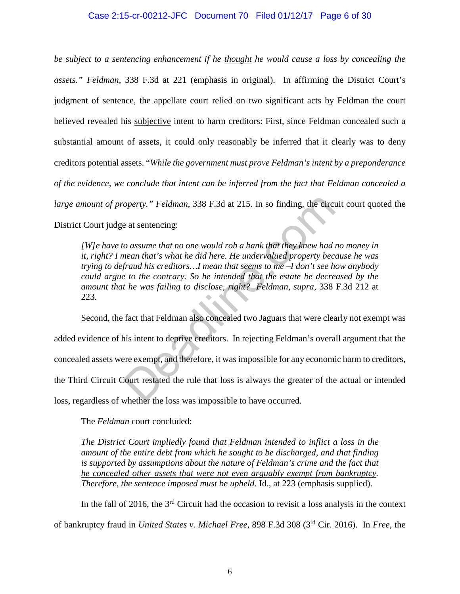## Case 2:15-cr-00212-JFC Document 70 Filed 01/12/17 Page 6 of 30

*be subject to a sentencing enhancement if he thought he would cause a loss by concealing the assets." Feldman*, 338 F.3d at 221 (emphasis in original). In affirming the District Court's judgment of sentence, the appellate court relied on two significant acts by Feldman the court believed revealed his subjective intent to harm creditors: First, since Feldman concealed such a substantial amount of assets, it could only reasonably be inferred that it clearly was to deny creditors potential assets. "*While the government must prove Feldman's intent by a preponderance of the evidence, we conclude that intent can be inferred from the fact that Feldman concealed a large amount of property." Feldman*, 338 F.3d at 215. In so finding, the circuit court quoted the District Court judge at sentencing:

*[W]e have to assume that no one would rob a bank that they knew had no money in it, right? I mean that's what he did here. He undervalued property because he was trying to defraud his creditors…I mean that seems to me –I don't see how anybody could argue to the contrary. So he intended that the estate be decreased by the amount that he was failing to disclose, right? Feldman*, *supra*, 338 F.3d 212 at 223.

Second, the fact that Feldman also concealed two Jaguars that were clearly not exempt was added evidence of his intent to deprive creditors. In rejecting Feldman's overall argument that the concealed assets were exempt, and therefore, it was impossible for any economic harm to creditors, the Third Circuit Court restated the rule that loss is always the greater of the actual or intended loss, regardless of whether the loss was impossible to have occurred. operty." Feldman, 338 F.3d at 215. In so finding, the circu<br>e at sentencing:<br>condition assume that no one would rob a bank that they knew had in<br>ean that's what he did here. He undervalued property becomental his creditors

The *Feldman* court concluded:

*The District Court impliedly found that Feldman intended to inflict a loss in the amount of the entire debt from which he sought to be discharged, and that finding is supported by assumptions about the nature of Feldman's crime and the fact that he concealed other assets that were not even arguably exempt from bankruptcy. Therefore, the sentence imposed must be upheld.* Id., at 223 (emphasis supplied).

In the fall of 2016, the  $3<sup>rd</sup>$  Circuit had the occasion to revisit a loss analysis in the context of bankruptcy fraud in *United States v. Michael Free*, 898 F.3d 308 (3rd Cir. 2016). In *Free*, the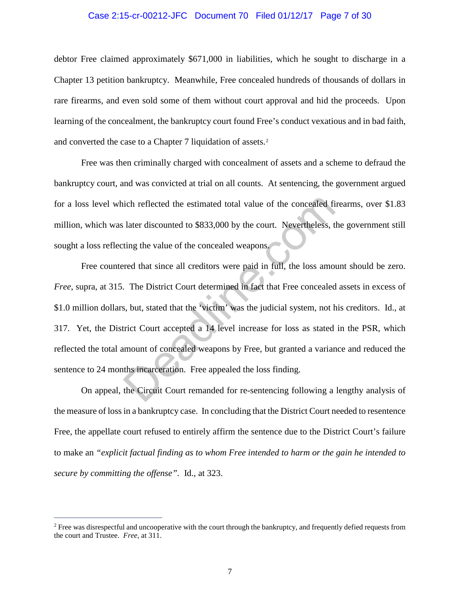### Case 2:15-cr-00212-JFC Document 70 Filed 01/12/17 Page 7 of 30

debtor Free claimed approximately \$671,000 in liabilities, which he sought to discharge in a Chapter 13 petition bankruptcy. Meanwhile, Free concealed hundreds of thousands of dollars in rare firearms, and even sold some of them without court approval and hid the proceeds. Upon learning of the concealment, the bankruptcy court found Free's conduct vexatious and in bad faith, and converted the case to a Chapter 7 liquidation of assets.[2](#page-6-0)

Free was then criminally charged with concealment of assets and a scheme to defraud the bankruptcy court, and was convicted at trial on all counts. At sentencing, the government argued for a loss level which reflected the estimated total value of the concealed firearms, over \$1.83 million, which was later discounted to \$833,000 by the court. Nevertheless, the government still sought a loss reflecting the value of the concealed weapons.

Free countered that since all creditors were paid in full, the loss amount should be zero. *Free*, supra, at 315. The District Court determined in fact that Free concealed assets in excess of \$1.0 million dollars, but, stated that the 'victim' was the judicial system, not his creditors. Id., at 317. Yet, the District Court accepted a 14 level increase for loss as stated in the PSR, which reflected the total amount of concealed weapons by Free, but granted a variance and reduced the sentence to 24 months incarceration. Free appealed the loss finding. ich reflected the estimated total value of the concealed fi<br>later discounted to \$833,000 by the court. Nevertheless, t<br>ting the value of the concealed weapons.<br>red that since all creditors were paid in full, the loss amo<br>.

On appeal, the Circuit Court remanded for re-sentencing following a lengthy analysis of the measure of loss in a bankruptcy case. In concluding that the District Court needed to resentence Free, the appellate court refused to entirely affirm the sentence due to the District Court's failure to make an *"explicit factual finding as to whom Free intended to harm or the gain he intended to secure by committing the offense".* Id., at 323.

<span id="page-6-0"></span><sup>&</sup>lt;sup>2</sup> Free was disrespectful and uncooperative with the court through the bankruptcy, and frequently defied requests from the court and Trustee. *Free*, at 311.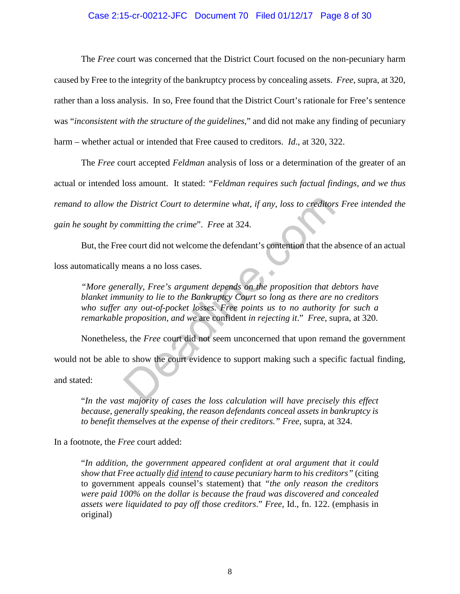## Case 2:15-cr-00212-JFC Document 70 Filed 01/12/17 Page 8 of 30

The *Free* court was concerned that the District Court focused on the non-pecuniary harm caused by Free to the integrity of the bankruptcy process by concealing assets. *Free*, supra, at 320, rather than a loss analysis. In so, Free found that the District Court's rationale for Free's sentence was "*inconsistent with the structure of the guidelines*," and did not make any finding of pecuniary harm – whether actual or intended that Free caused to creditors. *Id*., at 320, 322.

The *Free* court accepted *Feldman* analysis of loss or a determination of the greater of an actual or intended loss amount. It stated: *"Feldman requires such factual findings, and we thus remand to allow the District Court to determine what, if any, loss to creditors Free intended the gain he sought by committing the crime*". *Free* at 324.

But, the Free court did not welcome the defendant's contention that the absence of an actual loss automatically means a no loss cases.

*"More generally, Free's argument depends on the proposition that debtors have blanket immunity to lie to the Bankruptcy Court so long as there are no creditors who suffer any out-of-pocket losses. Free points us to no authority for such a remarkable proposition, and we* are confident *in rejecting it*." *Free*, supra, at 320. interest in the crime". Free at 324.<br>
Solution that the count did not welcome the defendant's contention that the area count did not welcome the defendant's contention that the area means a no loss cases.<br>
Finally, Free's

Nonetheless, the *Free* court did not seem unconcerned that upon remand the government

would not be able to show the court evidence to support making such a specific factual finding,

and stated:

"*In the vast majority of cases the loss calculation will have precisely this effect because, generally speaking, the reason defendants conceal assets in bankruptcy is to benefit themselves at the expense of their creditors." Free*, supra, at 324.

In a footnote, the *Free* court added:

"*In addition, the government appeared confident at oral argument that it could show that Free actually did intend to cause pecuniary harm to his creditors"* (citing to government appeals counsel's statement) that *"the only reason the creditors were paid 100% on the dollar is because the fraud was discovered and concealed assets were liquidated to pay off those creditors*." *Free*, Id., fn. 122. (emphasis in original)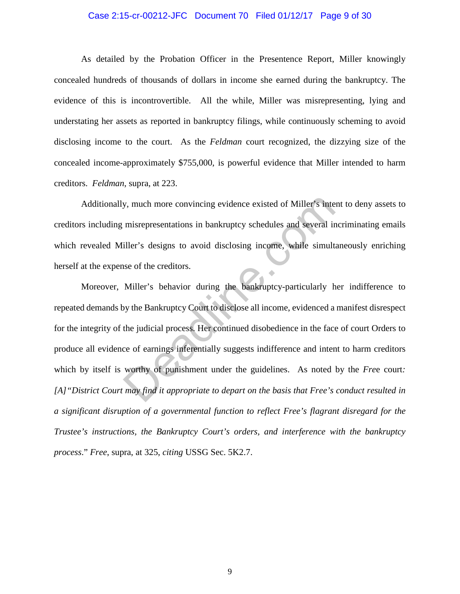### Case 2:15-cr-00212-JFC Document 70 Filed 01/12/17 Page 9 of 30

As detailed by the Probation Officer in the Presentence Report, Miller knowingly concealed hundreds of thousands of dollars in income she earned during the bankruptcy. The evidence of this is incontrovertible. All the while, Miller was misrepresenting, lying and understating her assets as reported in bankruptcy filings, while continuously scheming to avoid disclosing income to the court. As the *Feldman* court recognized, the dizzying size of the concealed income-approximately \$755,000, is powerful evidence that Miller intended to harm creditors. *Feldman*, supra, at 223.

Additionally, much more convincing evidence existed of Miller's intent to deny assets to creditors including misrepresentations in bankruptcy schedules and several incriminating emails which revealed Miller's designs to avoid disclosing income, while simultaneously enriching herself at the expense of the creditors.

Moreover, Miller's behavior during the bankruptcy-particularly her indifference to repeated demands by the Bankruptcy Court to disclose all income, evidenced a manifest disrespect for the integrity of the judicial process. Her continued disobedience in the face of court Orders to produce all evidence of earnings inferentially suggests indifference and intent to harm creditors which by itself is worthy of punishment under the guidelines. As noted by the *Fre*e court*: [A]"District Court may find it appropriate to depart on the basis that Free's conduct resulted in a significant disruption of a governmental function to reflect Free's flagrant disregard for the Trustee's instructions, the Bankruptcy Court's orders, and interference with the bankruptcy process*." *Free*, supra, at 325, *citing* USSG Sec. 5K2.7. by, much more convincing evidence existed of Miller's inte<br>misrepresentations in bankruptcy schedules and several if<br>iller's designs to avoid disclosing income, while simult<br>se of the creditors.<br>Miller's behavior during th

9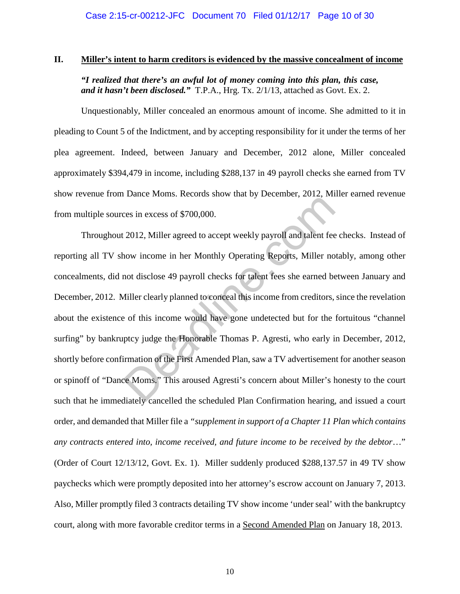## **II. Miller's intent to harm creditors is evidenced by the massive concealment of income**

*"I realized that there's an awful lot of money coming into this plan, this case, and it hasn't been disclosed."* T.P.A., Hrg. Tx. 2/1/13, attached as Govt. Ex. 2.

Unquestionably, Miller concealed an enormous amount of income. She admitted to it in pleading to Count 5 of the Indictment, and by accepting responsibility for it under the terms of her plea agreement. Indeed, between January and December, 2012 alone, Miller concealed approximately \$394,479 in income, including \$288,137 in 49 payroll checks she earned from TV show revenue from Dance Moms. Records show that by December, 2012, Miller earned revenue from multiple sources in excess of \$700,000.

Throughout 2012, Miller agreed to accept weekly payroll and talent fee checks. Instead of reporting all TV show income in her Monthly Operating Reports, Miller notably, among other concealments, did not disclose 49 payroll checks for talent fees she earned between January and December, 2012. Miller clearly planned to conceal this income from creditors, since the revelation about the existence of this income would have gone undetected but for the fortuitous "channel surfing" by bankruptcy judge the Honorable Thomas P. Agresti, who early in December, 2012, shortly before confirmation of the First Amended Plan, saw a TV advertisement for another season or spinoff of "Dance Moms." This aroused Agresti's concern about Miller's honesty to the court such that he immediately cancelled the scheduled Plan Confirmation hearing, and issued a court order, and demanded that Miller file a *"supplement in support of a Chapter 11 Plan which contains any contracts entered into, income received, and future income to be received by the debtor*…" (Order of Court 12/13/12, Govt. Ex. 1). Miller suddenly produced \$288,137.57 in 49 TV show paychecks which were promptly deposited into her attorney's escrow account on January 7, 2013. Also, Miller promptly filed 3 contracts detailing TV show income 'under seal' with the bankruptcy court, along with more favorable creditor terms in a Second Amended Plan on January 18, 2013. Example Homer Heckel and Alternative y December, 2012, Hill<br>comes in excess of \$700,000.<br>2012, Miller agreed to accept weekly payroll and talent fee<br>now income in her Monthly Operating Reports, Miller no<br>not disclose 49 pa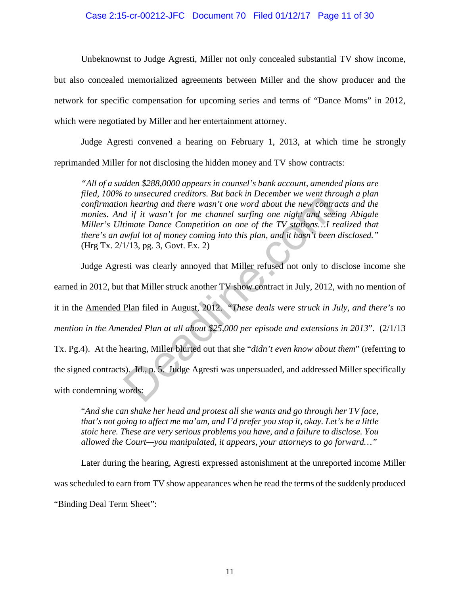## Case 2:15-cr-00212-JFC Document 70 Filed 01/12/17 Page 11 of 30

Unbeknownst to Judge Agresti, Miller not only concealed substantial TV show income, but also concealed memorialized agreements between Miller and the show producer and the network for specific compensation for upcoming series and terms of "Dance Moms" in 2012, which were negotiated by Miller and her entertainment attorney.

Judge Agresti convened a hearing on February 1, 2013, at which time he strongly reprimanded Miller for not disclosing the hidden money and TV show contracts:

*"All of a sudden \$288,0000 appears in counsel's bank account, amended plans are filed, 100% to unsecured creditors. But back in December we went through a plan confirmation hearing and there wasn't one word about the new contracts and the monies. And if it wasn't for me channel surfing one night and seeing Abigale Miller's Ultimate Dance Competition on one of the TV stations…I realized that there's an awful lot of money coming into this plan, and it hasn't been disclosed."*  (Hrg Tx. 2/1/13, pg. 3, Govt. Ex. 2)

Judge Agresti was clearly annoyed that Miller refused not only to disclose income she earned in 2012, but that Miller struck another TV show contract in July, 2012, with no mention of it in the Amended Plan filed in August, 2012. "*These deals were struck in July, and there's no mention in the Amended Plan at all about \$25,000 per episode and extensions in 2013*". (2/1/13 Tx. Pg.4). At the hearing, Miller blurted out that she "*didn't even know about them*" (referring to the signed contracts). Id., p. 5. Judge Agresti was unpersuaded, and addressed Miller specifically with condemning words: In hearing and there wasn't one word about the new contraction<br>in hearing and there wasn't one word about the new contraction<br>of d if it wasn't for me channel surfing one night and see<br>timate Dance Competition on one of th

"*And she can shake her head and protest all she wants and go through her TV face, that's not going to affect me ma'am, and I'd prefer you stop it, okay. Let's be a little stoic here. These are very serious problems you have, and a failure to disclose. You allowed the Court—you manipulated, it appears, your attorneys to go forward…"*

Later during the hearing, Agresti expressed astonishment at the unreported income Miller was scheduled to earn from TV show appearances when he read the terms of the suddenly produced "Binding Deal Term Sheet":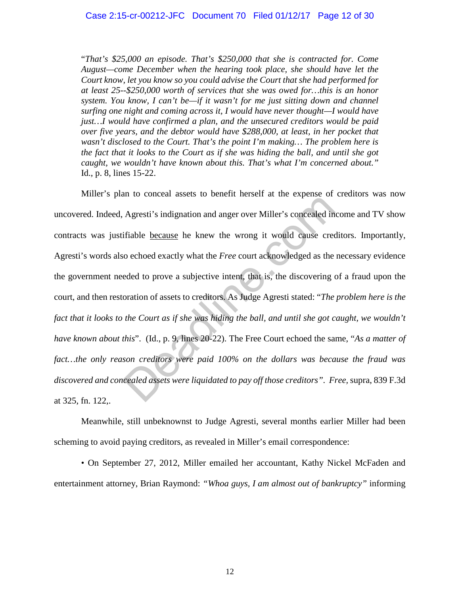"*That's \$25,000 an episode. That's \$250,000 that she is contracted for. Come August—come December when the hearing took place, she should have let the Court know, let you know so you could advise the Court that she had performed for at least 25--\$250,000 worth of services that she was owed for…this is an honor system. You know, I can't be—if it wasn't for me just sitting down and channel surfing one night and coming across it, I would have never thought—I would have just…I would have confirmed a plan, and the unsecured creditors would be paid over five years, and the debtor would have \$288,000, at least, in her pocket that wasn't disclosed to the Court. That's the point I'm making… The problem here is the fact that it looks to the Court as if she was hiding the ball, and until she got caught, we wouldn't have known about this. That's what I'm concerned about."* Id., p. 8, lines 15-22.

Miller's plan to conceal assets to benefit herself at the expense of creditors was now uncovered. Indeed, Agresti's indignation and anger over Miller's concealed income and TV show contracts was justifiable because he knew the wrong it would cause creditors. Importantly, Agresti's words also echoed exactly what the *Free* court acknowledged as the necessary evidence the government needed to prove a subjective intent, that is, the discovering of a fraud upon the court, and then restoration of assets to creditors. As Judge Agresti stated: "*The problem here is the fact that it looks to the Court as if she was hiding the ball, and until she got caught, we wouldn't have known about this*". (Id., p. 9, lines 20-22). The Free Court echoed the same, "*As a matter of fact…the only reason creditors were paid 100% on the dollars was because the fraud was discovered and concealed assets were liquidated to pay off those creditors". Free,* supra, 839 F.3d at 325, fn. 122,. Agresti's indignation and anger over Miller's concealed in<br>
fifiable <u>because</u> he knew the wrong it would cause crec<br>
co echoed exactly what the *Free* court acknowledged as the<br>
eded to prove a subjective intent, that is,

Meanwhile, still unbeknownst to Judge Agresti, several months earlier Miller had been scheming to avoid paying creditors, as revealed in Miller's email correspondence:

 • On September 27, 2012, Miller emailed her accountant, Kathy Nickel McFaden and entertainment attorney, Brian Raymond: *"Whoa guys, I am almost out of bankruptcy"* informing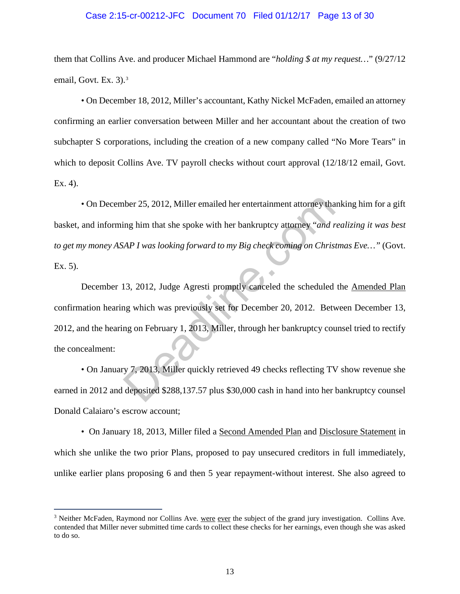### Case 2:15-cr-00212-JFC Document 70 Filed 01/12/17 Page 13 of 30

them that Collins Ave. and producer Michael Hammond are "*holding \$ at my request…*" (9/27/12 email, Govt. Ex. [3](#page-12-0)).<sup>3</sup>

 • On December 18, 2012, Miller's accountant, Kathy Nickel McFaden, emailed an attorney confirming an earlier conversation between Miller and her accountant about the creation of two subchapter S corporations, including the creation of a new company called "No More Tears" in which to deposit Collins Ave. TV payroll checks without court approval  $(12/18/12 \text{ email}, \text{Govt})$ . Ex. 4).

 • On December 25, 2012, Miller emailed her entertainment attorney thanking him for a gift basket, and informing him that she spoke with her bankruptcy attorney "*and realizing it was best to get my money ASAP I was looking forward to my Big check coming on Christmas Eve…"* (Govt. Ex. 5).

December 13, 2012, Judge Agresti promptly canceled the scheduled the Amended Plan confirmation hearing which was previously set for December 20, 2012. Between December 13, 2012, and the hearing on February 1, 2013, Miller, through her bankruptcy counsel tried to rectify the concealment: ther 25, 2012, Miller emailed her entertainment attorney that<br>ing him that she spoke with her bankruptcy attorney "and r<br>AP I was looking forward to my Big check coming on Chris.<br>13, 2012, Judge Agresti promptly canceled t

• On January 7, 2013, Miller quickly retrieved 49 checks reflecting TV show revenue she earned in 2012 and deposited \$288,137.57 plus \$30,000 cash in hand into her bankruptcy counsel Donald Calaiaro's escrow account;

• On January 18, 2013, Miller filed a Second Amended Plan and Disclosure Statement in which she unlike the two prior Plans, proposed to pay unsecured creditors in full immediately, unlike earlier plans proposing 6 and then 5 year repayment-without interest. She also agreed to

<span id="page-12-0"></span><sup>&</sup>lt;sup>3</sup> Neither McFaden, Raymond nor Collins Ave. were ever the subject of the grand jury investigation. Collins Ave. contended that Miller never submitted time cards to collect these checks for her earnings, even though she was asked to do so.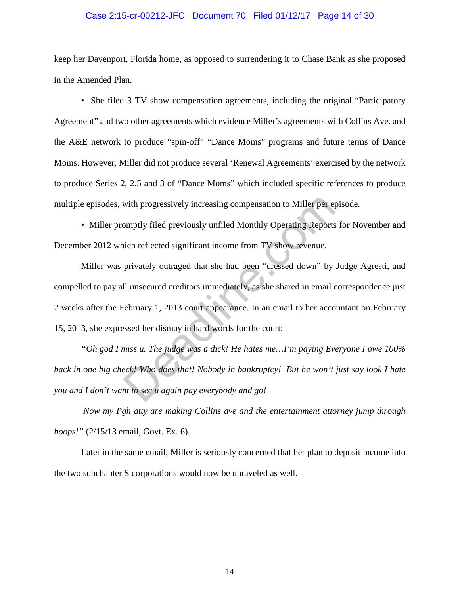### Case 2:15-cr-00212-JFC Document 70 Filed 01/12/17 Page 14 of 30

keep her Davenport, Florida home, as opposed to surrendering it to Chase Bank as she proposed in the Amended Plan.

• She filed 3 TV show compensation agreements, including the original "Participatory Agreement" and two other agreements which evidence Miller's agreements with Collins Ave. and the A&E network to produce "spin-off" "Dance Moms" programs and future terms of Dance Moms. However, Miller did not produce several 'Renewal Agreements' exercised by the network to produce Series 2, 2.5 and 3 of "Dance Moms" which included specific references to produce multiple episodes, with progressively increasing compensation to Miller per episode.

• Miller promptly filed previously unfiled Monthly Operating Reports for November and December 2012 which reflected significant income from TV show revenue.

Miller was privately outraged that she had been "dressed down" by Judge Agresti, and compelled to pay all unsecured creditors immediately, as she shared in email correspondence just 2 weeks after the February 1, 2013 court appearance. In an email to her accountant on February 15, 2013, she expressed her dismay in hard words for the court: with progressively increasing compensation to Miller per eyomptly filed previously unfiled Monthly Operating Reports<br>ich reflected significant income from TV show revenue.<br>privately outraged that she had been "dressed down

*"Oh god I miss u. The judge was a dick! He hates me…I'm paying Everyone I owe 100% back in one big check! Who does that! Nobody in bankruptcy! But he won't just say look I hate you and I don't want to see u again pay everybody and go!* 

*Now my Pgh atty are making Collins ave and the entertainment attorney jump through hoops!"* (2/15/13 email, Govt. Ex. 6).

Later in the same email, Miller is seriously concerned that her plan to deposit income into the two subchapter S corporations would now be unraveled as well.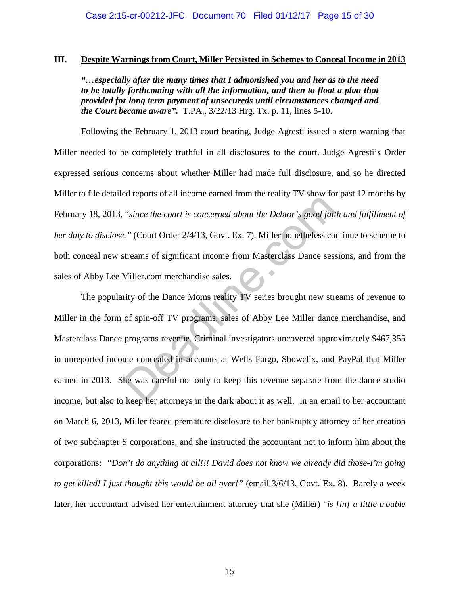# **III. Despite Warnings from Court, Miller Persisted in Schemes to Conceal Income in 2013**

*"…especially after the many times that I admonished you and her as to the need to be totally forthcoming with all the information, and then to float a plan that provided for long term payment of unsecureds until circumstances changed and the Court became aware".* T.PA., 3/22/13 Hrg. Tx. p. 11, lines 5-10.

Following the February 1, 2013 court hearing, Judge Agresti issued a stern warning that Miller needed to be completely truthful in all disclosures to the court. Judge Agresti's Order expressed serious concerns about whether Miller had made full disclosure, and so he directed Miller to file detailed reports of all income earned from the reality TV show for past 12 months by February 18, 2013, "*since the court is concerned about the Debtor's good faith and fulfillment of her duty to disclose."* (Court Order 2/4/13, Govt. Ex. 7). Miller nonetheless continue to scheme to both conceal new streams of significant income from Masterclass Dance sessions, and from the sales of Abby Lee Miller.com merchandise sales.

The popularity of the Dance Moms reality TV series brought new streams of revenue to Miller in the form of spin-off TV programs, sales of Abby Lee Miller dance merchandise, and Masterclass Dance programs revenue. Criminal investigators uncovered approximately \$467,355 in unreported income concealed in accounts at Wells Fargo, Showclix, and PayPal that Miller earned in 2013. She was careful not only to keep this revenue separate from the dance studio income, but also to keep her attorneys in the dark about it as well. In an email to her accountant on March 6, 2013, Miller feared premature disclosure to her bankruptcy attorney of her creation of two subchapter S corporations, and she instructed the accountant not to inform him about the corporations: *"Don't do anything at all!!! David does not know we already did those-I'm going to get killed! I just thought this would be all over!"* (email 3/6/13, Govt. Ex. 8). Barely a week later, her accountant advised her entertainment attorney that she (Miller) "*is [in] a little trouble*  "since the court is concerned about the Debtor's good fait"<br>
"Court Order 2/4/13, Govt. Ex. 7). Miller nonetheless contreams of significant income from Masterclass Dance sest<br>
Miller.com merchandise sales.<br>
The Dance Moms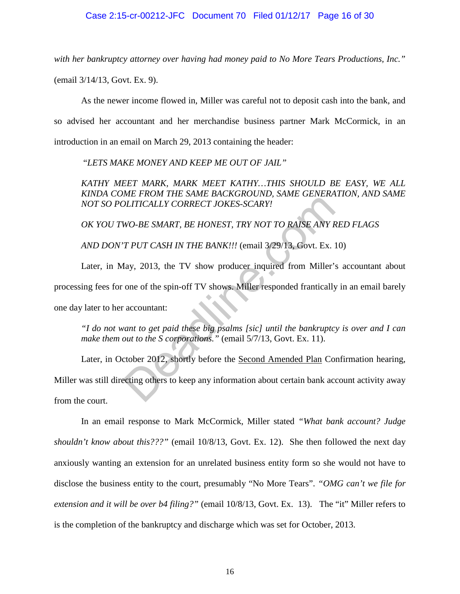*with her bankruptcy attorney over having had money paid to No More Tears Productions, Inc."* 

(email 3/14/13, Govt. Ex. 9).

As the newer income flowed in, Miller was careful not to deposit cash into the bank, and so advised her accountant and her merchandise business partner Mark McCormick, in an introduction in an email on March 29, 2013 containing the header:

"*LETS MAKE MONEY AND KEEP ME OUT OF JAIL"*

*KATHY MEET MARK, MARK MEET KATHY…THIS SHOULD BE EASY, WE ALL KINDA COME FROM THE SAME BACKGROUND, SAME GENERATION, AND SAME NOT SO POLITICALLY CORRECT JOKES-SCARY!*

*OK YOU TWO-BE SMART, BE HONEST, TRY NOT TO RAISE ANY RED FLAGS*

*AND DON'T PUT CASH IN THE BANK!!!* (email 3/29/13, Govt. Ex. 10)

Later, in May, 2013, the TV show producer inquired from Miller's accountant about processing fees for one of the spin-off TV shows. Miller responded frantically in an email barely one day later to her accountant: DLITICALLY CORRECT JOKES-SCARY!<br>WO-BE SMART, BE HONEST, TRY NOT TO RAISE ANY K<br>T PUT CASH IN THE BANK!!! (email 3/29/13, Govt. Ex.<br>Iay, 2013, the TV show producer inquired from Miller',<br>one of the spin-off TV shows. Miller

*"I do not want to get paid these big psalms [sic] until the bankruptcy is over and I can make them out to the S corporations."* (email 5/7/13, Govt. Ex. 11).

Later, in October 2012, shortly before the Second Amended Plan Confirmation hearing, Miller was still directing others to keep any information about certain bank account activity away from the court.

In an email response to Mark McCormick, Miller stated *"What bank account? Judge shouldn't know about this???"* (email 10/8/13, Govt. Ex. 12). She then followed the next day anxiously wanting an extension for an unrelated business entity form so she would not have to disclose the business entity to the court, presumably "No More Tears". *"OMG can't we file for extension and it will be over b4 filing?"* (email 10/8/13, Govt. Ex. 13). The "it" Miller refers to is the completion of the bankruptcy and discharge which was set for October, 2013.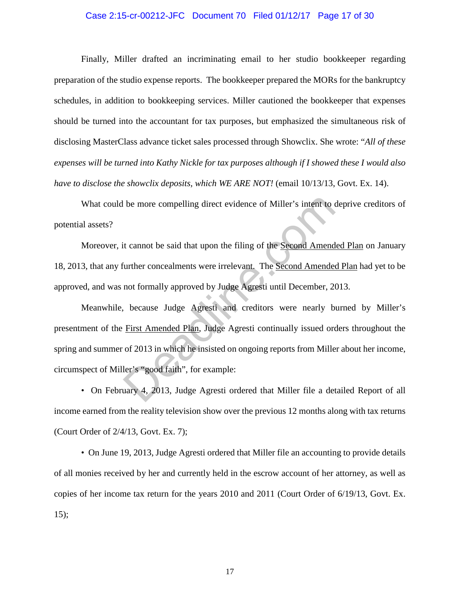### Case 2:15-cr-00212-JFC Document 70 Filed 01/12/17 Page 17 of 30

Finally, Miller drafted an incriminating email to her studio bookkeeper regarding preparation of the studio expense reports. The bookkeeper prepared the MORs for the bankruptcy schedules, in addition to bookkeeping services. Miller cautioned the bookkeeper that expenses should be turned into the accountant for tax purposes, but emphasized the simultaneous risk of disclosing MasterClass advance ticket sales processed through Showclix. She wrote: "*All of these expenses will be turned into Kathy Nickle for tax purposes although if I showed these I would also have to disclose the showclix deposits, which WE ARE NOT!* (email 10/13/13, Govt. Ex. 14).

What could be more compelling direct evidence of Miller's intent to deprive creditors of potential assets?

Moreover, it cannot be said that upon the filing of the Second Amended Plan on January 18, 2013, that any further concealments were irrelevant. The Second Amended Plan had yet to be approved, and was not formally approved by Judge Agresti until December, 2013.

Meanwhile, because Judge Agresti and creditors were nearly burned by Miller's presentment of the First Amended Plan, Judge Agresti continually issued orders throughout the spring and summer of 2013 in which he insisted on ongoing reports from Miller about her income, circumspect of Miller's "good faith", for example: be more compelling direct evidence of Miller's intent to the term of technical text<br>that team to be said that upon the filing of the <u>Second Amende</u><br>intriber concealments were irrelevant. The <u>Second Amendee</u><br>not formally

• On February 4, 2013, Judge Agresti ordered that Miller file a detailed Report of all income earned from the reality television show over the previous 12 months along with tax returns (Court Order of 2/4/13, Govt. Ex. 7);

• On June 19, 2013, Judge Agresti ordered that Miller file an accounting to provide details of all monies received by her and currently held in the escrow account of her attorney, as well as copies of her income tax return for the years 2010 and 2011 (Court Order of 6/19/13, Govt. Ex.  $15$ ;

17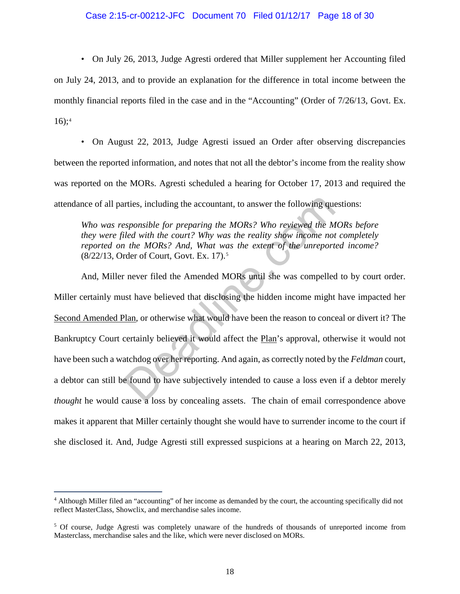## Case 2:15-cr-00212-JFC Document 70 Filed 01/12/17 Page 18 of 30

• On July 26, 2013, Judge Agresti ordered that Miller supplement her Accounting filed on July 24, 2013, and to provide an explanation for the difference in total income between the monthly financial reports filed in the case and in the "Accounting" (Order of 7/26/13, Govt. Ex.  $16$ :<sup>[4](#page-17-0)</sup>

• On August 22, 2013, Judge Agresti issued an Order after observing discrepancies between the reported information, and notes that not all the debtor's income from the reality show was reported on the MORs. Agresti scheduled a hearing for October 17, 2013 and required the attendance of all parties, including the accountant, to answer the following questions:

*Who was responsible for preparing the MORs? Who reviewed the MORs before they were filed with the court? Why was the reality show income not completely reported on the MORs? And, What was the extent of the unreported income?*  (8/22/13, Order of Court, Govt. Ex. 17).5

And, Miller never filed the Amended MORs until she was compelled to by court order. Miller certainly must have believed that disclosing the hidden income might have impacted her Second Amended Plan, or otherwise what would have been the reason to conceal or divert it? The Bankruptcy Court certainly believed it would affect the Plan's approval, otherwise it would not have been such a watchdog over her reporting. And again, as correctly noted by the *Feldman* court, a debtor can still be found to have subjectively intended to cause a loss even if a debtor merely *thought* he would cause a loss by concealing assets. The chain of email correspondence above makes it apparent that Miller certainly thought she would have to surrender income to the court if she disclosed it. And, Judge Agresti still expressed suspicions at a hearing on March 22, 2013, arties, including the accountant, to answer the following que<br>the syponsible for preparing the MORs? Who reviewed the Miled with the court? Why was the reality show income not<br>the MORs? And, What was the extent of the unre

<span id="page-17-0"></span><sup>4</sup> Although Miller filed an "accounting" of her income as demanded by the court, the accounting specifically did not reflect MasterClass, Showclix, and merchandise sales income.

<span id="page-17-1"></span><sup>5</sup> Of course, Judge Agresti was completely unaware of the hundreds of thousands of unreported income from Masterclass, merchandise sales and the like, which were never disclosed on MORs.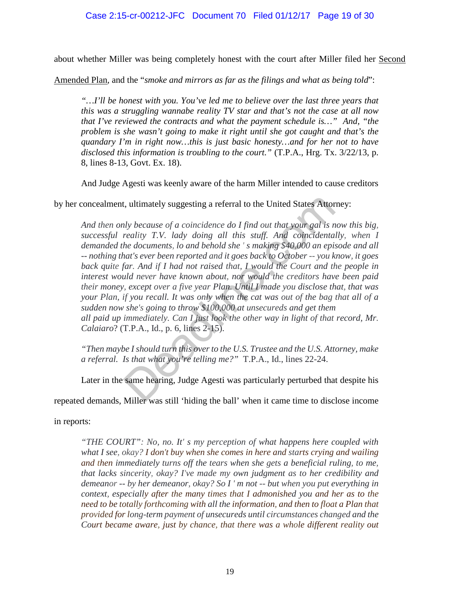about whether Miller was being completely honest with the court after Miller filed her Second

Amended Plan, and the "*smoke and mirrors as far as the filings and what as being told*":

*"…I'll be honest with you. You've led me to believe over the last three years that this was a struggling wannabe reality TV star and that's not the case at all now that I've reviewed the contracts and what the payment schedule is…" And, "the problem is she wasn't going to make it right until she got caught and that's the quandary I'm in right now…this is just basic honesty…and for her not to have disclosed this information is troubling to the court."* (T.P.A., Hrg. Tx. 3/22/13, p. 8, lines 8-13, Govt. Ex. 18).

And Judge Agesti was keenly aware of the harm Miller intended to cause creditors

by her concealment, ultimately suggesting a referral to the United States Attorney:

*And then only because of a coincidence do I find out that your gal is now this big,*  successful reality T.V. lady doing all this stuff. And coincidentally, when I *demanded the documents, lo and behold she ' s making \$40,000 an episode and all -- nothing that's ever been reported and it goes back to October -- you know, it goes back quite far. And if I had not raised that, I would the Court and the people in interest would never have known about, nor would the creditors have been paid their money, except over a five year Plan. Until I made you disclose that, that was your Plan, if you recall. It was only when the cat was out of the bag that all of a sudden now she's going to throw \$100,000 at unsecureds and get them all paid up immediately. Can I just look the other way in light of that record, Mr. Calaiaro*? (T.P.A., Id., p. 6, lines 2-15). t, ultimately suggesting a referral to the United States Attor<br>the subsect of a coincidence do I find out that your gal is n<br>reality T.V. lady doing all this stuff. And coincidenta.<br>he documents, lo and behold she's making

*"Then maybe I should turn this over to the U.S. Trustee and the U.S. Attorney, make a referral. Is that what you're telling me?"* T.P.A., Id., lines 22-24.

Later in the same hearing, Judge Agesti was particularly perturbed that despite his

repeated demands, Miller was still 'hiding the ball' when it came time to disclose income

in reports:

*"THE COURT": No, no. It' s my perception of what happens here coupled with what I see, okay? I don't buy when she comes in here and starts crying and wailing and then immediately turns off the tears when she gets a beneficial ruling, to me, that lacks sincerity, okay? I've made my own judgment as to her credibility and demeanor -- by her demeanor, okay? So I ' m not -- but when you put everything in context, especially after the many times that I admonished you and her as to the need to be totally forthcoming with all the information, and then to float a Plan that provided for long-term payment of unsecureds until circumstances changed and the Court became aware, just by chance, that there was a whole different reality out*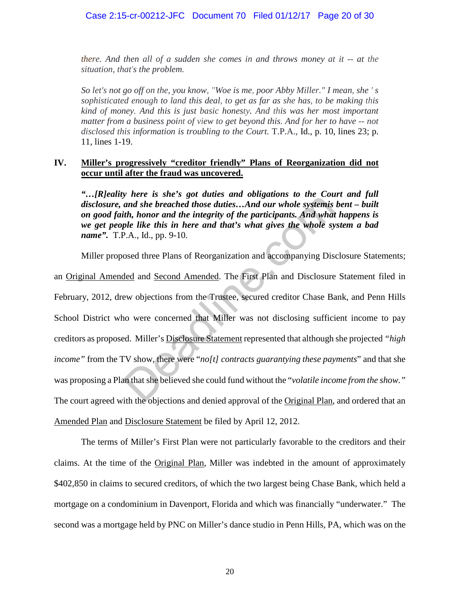*there. And then all of a sudden she comes in and throws money at it -- at the situation, that's the problem.* 

*So let's not go off on the, you know, "Woe is me, poor Abby Miller." I mean, she ' s sophisticated enough to land this deal, to get as far as she has, to be making this kind of money. And this is just basic honesty. And this was her most important matter from a business point of view to get beyond this. And for her to have -- not disclosed this information is troubling to the Court.* T.P.A., Id., p. 10, lines 23; p. 11, lines 1-19.

## **IV. Miller's progressively "creditor friendly" Plans of Reorganization did not occur until after the fraud was uncovered.**

*"…[R]eality here is she's got duties and obligations to the Court and full disclosure, and she breached those duties…And our whole systemis bent – built on good faith, honor and the integrity of the participants. And what happens is we get people like this in here and that's what gives the whole system a bad name".* T.P.A., Id., pp. 9-10.

Miller proposed three Plans of Reorganization and accompanying Disclosure Statements;

an Original Amended and Second Amended. The First Plan and Disclosure Statement filed in February, 2012, drew objections from the Trustee, secured creditor Chase Bank, and Penn Hills School District who were concerned that Miller was not disclosing sufficient income to pay creditors as proposed. Miller's Disclosure Statement represented that although she projected *"high income"* from the TV show, there were "*no[t] contracts guarantying these payments*" and that she was proposing a Plan that she believed she could fund without the "*volatile income from the show."* The court agreed with the objections and denied approval of the Original Plan, and ordered that an Amended Plan and Disclosure Statement be filed by April 12, 2012. *Final she breached those duties...And our whole systemis*<br>and she breached those duties...*And our whole systemis*<br>ith, honor and the integrity of the participants. And what<br>ple like this in here and that's what gives th

The terms of Miller's First Plan were not particularly favorable to the creditors and their claims. At the time of the Original Plan, Miller was indebted in the amount of approximately \$402,850 in claims to secured creditors, of which the two largest being Chase Bank, which held a mortgage on a condominium in Davenport, Florida and which was financially "underwater." The second was a mortgage held by PNC on Miller's dance studio in Penn Hills, PA, which was on the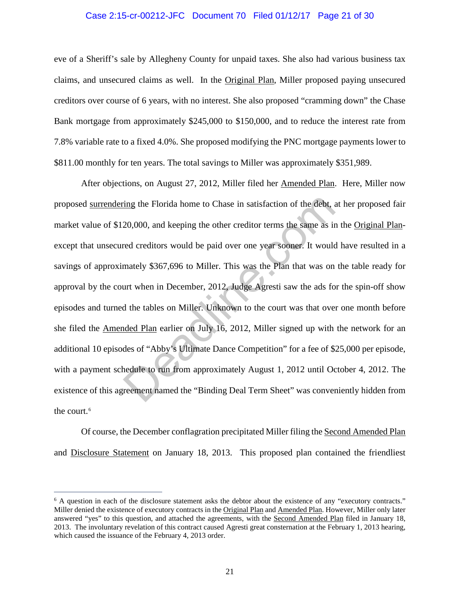### Case 2:15-cr-00212-JFC Document 70 Filed 01/12/17 Page 21 of 30

eve of a Sheriff's sale by Allegheny County for unpaid taxes. She also had various business tax claims, and unsecured claims as well. In the Original Plan, Miller proposed paying unsecured creditors over course of 6 years, with no interest. She also proposed "cramming down" the Chase Bank mortgage from approximately \$245,000 to \$150,000, and to reduce the interest rate from 7.8% variable rate to a fixed 4.0%. She proposed modifying the PNC mortgage payments lower to \$811.00 monthly for ten years. The total savings to Miller was approximately \$351,989.

After objections, on August 27, 2012, Miller filed her Amended Plan. Here, Miller now proposed surrendering the Florida home to Chase in satisfaction of the debt, at her proposed fair market value of \$120,000, and keeping the other creditor terms the same as in the Original Planexcept that unsecured creditors would be paid over one year sooner. It would have resulted in a savings of approximately \$367,696 to Miller. This was the Plan that was on the table ready for approval by the court when in December, 2012, Judge Agresti saw the ads for the spin-off show episodes and turned the tables on Miller. Unknown to the court was that over one month before she filed the Amended Plan earlier on July 16, 2012, Miller signed up with the network for an additional 10 episodes of "Abby's Ultimate Dance Competition" for a fee of \$25,000 per episode, with a payment schedule to run from approximately August 1, 2012 until October 4, 2012. The existence of this agreement named the "Binding Deal Term Sheet" was conveniently hidden from the court.<sup>[6](#page-20-0)</sup> ing the Florida home to Chase in satisfaction of the debt, a<br>20,000, and keeping the other creditor terms the same as in<br>red creditors would be paid over one year sooner. It would<br>mately \$367,696 to Miller. This was the Pl

Of course, the December conflagration precipitated Miller filing the Second Amended Plan and Disclosure Statement on January 18, 2013. This proposed plan contained the friendliest

<span id="page-20-0"></span><sup>&</sup>lt;sup>6</sup> A question in each of the disclosure statement asks the debtor about the existence of any "executory contracts." Miller denied the existence of executory contracts in the Original Plan and Amended Plan. However, Miller only later answered "yes" to this question, and attached the agreements, with the Second Amended Plan filed in January 18, 2013. The involuntary revelation of this contract caused Agresti great consternation at the February 1, 2013 hearing, which caused the issuance of the February 4, 2013 order.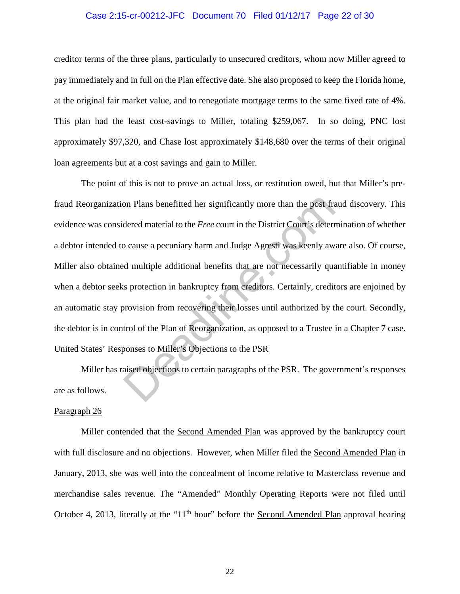# Case 2:15-cr-00212-JFC Document 70 Filed 01/12/17 Page 22 of 30

creditor terms of the three plans, particularly to unsecured creditors, whom now Miller agreed to pay immediately and in full on the Plan effective date. She also proposed to keep the Florida home, at the original fair market value, and to renegotiate mortgage terms to the same fixed rate of 4%. This plan had the least cost-savings to Miller, totaling \$259,067. In so doing, PNC lost approximately \$97,320, and Chase lost approximately \$148,680 over the terms of their original loan agreements but at a cost savings and gain to Miller.

The point of this is not to prove an actual loss, or restitution owed, but that Miller's prefraud Reorganization Plans benefitted her significantly more than the post fraud discovery. This evidence was considered material to the *Free* court in the District Court's determination of whether a debtor intended to cause a pecuniary harm and Judge Agresti was keenly aware also. Of course, Miller also obtained multiple additional benefits that are not necessarily quantifiable in money when a debtor seeks protection in bankruptcy from creditors. Certainly, creditors are enjoined by an automatic stay provision from recovering their losses until authorized by the court. Secondly, the debtor is in control of the Plan of Reorganization, as opposed to a Trustee in a Chapter 7 case. United States' Responses to Miller's Objections to the PSR on Plans benefitted her significantly more than the post fractional dered material to the *Free* court in the District Court's determore cause a pecuniary harm and Judge Agresti was keenly away dimultiple additional benefi

Miller has raised objections to certain paragraphs of the PSR. The government's responses are as follows.

## Paragraph 26

Miller contended that the Second Amended Plan was approved by the bankruptcy court with full disclosure and no objections. However, when Miller filed the Second Amended Plan in January, 2013, she was well into the concealment of income relative to Masterclass revenue and merchandise sales revenue. The "Amended" Monthly Operating Reports were not filed until October 4, 2013, literally at the "11<sup>th</sup> hour" before the <u>Second Amended Plan</u> approval hearing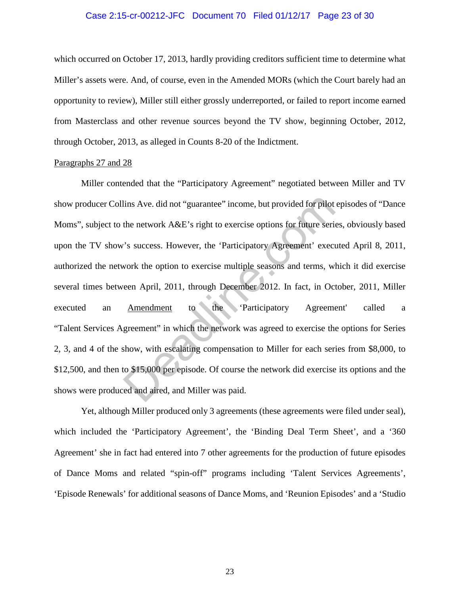### Case 2:15-cr-00212-JFC Document 70 Filed 01/12/17 Page 23 of 30

which occurred on October 17, 2013, hardly providing creditors sufficient time to determine what Miller's assets were. And, of course, even in the Amended MORs (which the Court barely had an opportunity to review), Miller still either grossly underreported, or failed to report income earned from Masterclass and other revenue sources beyond the TV show, beginning October, 2012, through October, 2013, as alleged in Counts 8-20 of the Indictment.

#### Paragraphs 27 and 28

Miller contended that the "Participatory Agreement" negotiated between Miller and TV show producer Collins Ave. did not "guarantee" income, but provided for pilot episodes of "Dance Moms", subject to the network A&E's right to exercise options for future series, obviously based upon the TV show's success. However, the 'Participatory Agreement' executed April 8, 2011, authorized the network the option to exercise multiple seasons and terms, which it did exercise several times between April, 2011, through December 2012. In fact, in October, 2011, Miller executed an Amendment to the 'Participatory Agreement' called a "Talent Services Agreement" in which the network was agreed to exercise the options for Series 2, 3, and 4 of the show, with escalating compensation to Miller for each series from \$8,000, to \$12,500, and then to \$15,000 per episode. Of course the network did exercise its options and the shows were produced and aired, and Miller was paid. lins Ave. did not "guarantee" income, but provided for pilot<br>the network A&E's right to exercise options for future seri<br>"s success. However, the 'Participatory Agreement' exect<br>work the option to exercise multiple seasons

Yet, although Miller produced only 3 agreements (these agreements were filed under seal), which included the 'Participatory Agreement', the 'Binding Deal Term Sheet', and a '360 Agreement' she in fact had entered into 7 other agreements for the production of future episodes of Dance Moms and related "spin-off" programs including 'Talent Services Agreements', 'Episode Renewals' for additional seasons of Dance Moms, and 'Reunion Episodes' and a 'Studio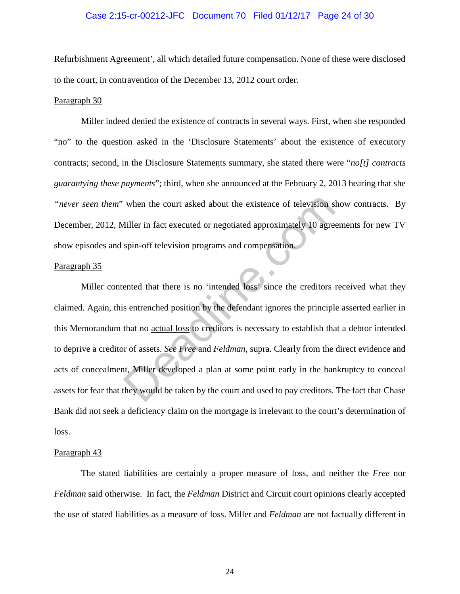### Case 2:15-cr-00212-JFC Document 70 Filed 01/12/17 Page 24 of 30

Refurbishment Agreement', all which detailed future compensation. None of these were disclosed to the court, in contravention of the December 13, 2012 court order.

### Paragraph 30

Miller indeed denied the existence of contracts in several ways. First, when she responded "no" to the question asked in the 'Disclosure Statements' about the existence of executory contracts; second, in the Disclosure Statements summary, she stated there were "*no[t] contracts guarantying these payments*"; third, when she announced at the February 2, 2013 hearing that she *"never seen them*" when the court asked about the existence of television show contracts. By December, 2012, Miller in fact executed or negotiated approximately 10 agreements for new TV show episodes and spin-off television programs and compensation.

## Paragraph 35

Miller contented that there is no 'intended loss' since the creditors received what they claimed. Again, this entrenched position by the defendant ignores the principle asserted earlier in this Memorandum that no actual loss to creditors is necessary to establish that a debtor intended to deprive a creditor of assets. *See Free* and *Feldman*, supra. Clearly from the direct evidence and acts of concealment, Miller developed a plan at some point early in the bankruptcy to conceal assets for fear that they would be taken by the court and used to pay creditors. The fact that Chase Bank did not seek a deficiency claim on the mortgage is irrelevant to the court's determination of loss. when the court asked about the existence of television s<br>
iller in fact executed or negotiated approximately 10 agres<br>
spin-off television programs and compensation.<br>
ented that there is no 'intended loss' since the credit

### Paragraph 43

The stated liabilities are certainly a proper measure of loss, and neither the *Free* nor *Feldman* said otherwise. In fact, the *Feldman* District and Circuit court opinions clearly accepted the use of stated liabilities as a measure of loss. Miller and *Feldman* are not factually different in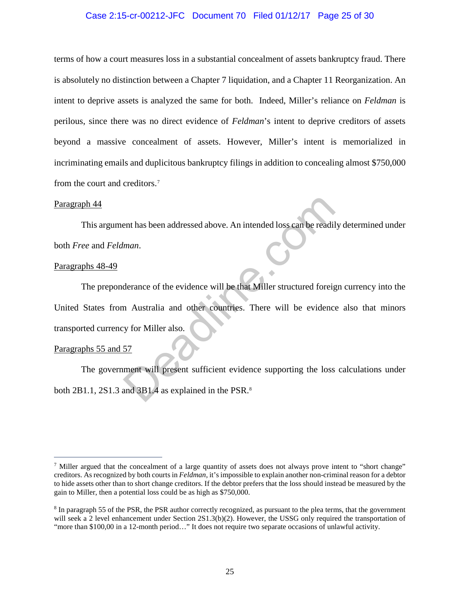## Case 2:15-cr-00212-JFC Document 70 Filed 01/12/17 Page 25 of 30

terms of how a court measures loss in a substantial concealment of assets bankruptcy fraud. There is absolutely no distinction between a Chapter 7 liquidation, and a Chapter 11 Reorganization. An intent to deprive assets is analyzed the same for both. Indeed, Miller's reliance on *Feldman* is perilous, since there was no direct evidence of *Feldman*'s intent to deprive creditors of assets beyond a massive concealment of assets. However, Miller's intent is memorialized in incriminating emails and duplicitous bankruptcy filings in addition to concealing almost \$750,000 from the court and creditors.[7](#page-24-0)

### Paragraph 44

This argument has been addressed above. An intended loss can be readily determined under both *Free* and *Feldman*.

### Paragraphs 48-49

The preponderance of the evidence will be that Miller structured foreign currency into the United States from Australia and other countries. There will be evidence also that minors transported currency for Miller also. ent has been addressed above. An intended loss can be readil<br>
man.<br>
derance of the evidence will be that Miller structured foreign<br>
manustralia and other countries. There will be evidence<br>
y for Miller also.<br>
57<br>
ment will

### Paragraphs 55 and 57

 $\overline{a}$ 

The government will present sufficient evidence supporting the loss calculations under both 2B1.1, 2S1.3 and 3B1.4 as explained in the PSR.<sup>8</sup>

<span id="page-24-0"></span><sup>&</sup>lt;sup>7</sup> Miller argued that the concealment of a large quantity of assets does not always prove intent to "short change" creditors. As recognized by both courts in *Feldman*, it's impossible to explain another non-criminal reason for a debtor to hide assets other than to short change creditors. If the debtor prefers that the loss should instead be measured by the gain to Miller, then a potential loss could be as high as \$750,000.

<span id="page-24-1"></span><sup>8</sup> In paragraph 55 of the PSR, the PSR author correctly recognized, as pursuant to the plea terms, that the government will seek a 2 level enhancement under Section 2S1.3(b)(2). However, the USSG only required the transportation of "more than \$100,00 in a 12-month period…" It does not require two separate occasions of unlawful activity.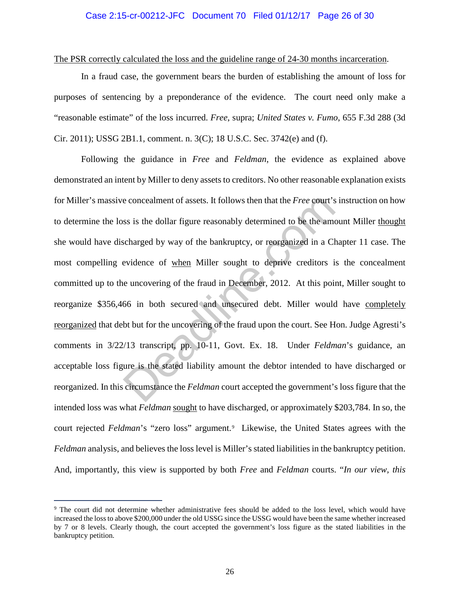### Case 2:15-cr-00212-JFC Document 70 Filed 01/12/17 Page 26 of 30

The PSR correctly calculated the loss and the guideline range of 24-30 months incarceration.

In a fraud case, the government bears the burden of establishing the amount of loss for purposes of sentencing by a preponderance of the evidence. The court need only make a "reasonable estimate" of the loss incurred. *Free*, supra; *United States v. Fumo*, 655 F.3d 288 (3d Cir. 2011); USSG 2B1.1, comment. n. 3(C); 18 U.S.C. Sec. 3742(e) and (f).

 Following the guidance in *Free* and *Feldman*, the evidence as explained above demonstrated an intent by Miller to deny assets to creditors. No other reasonable explanation exists for Miller's massive concealment of assets. It follows then that the *Free* court's instruction on how to determine the loss is the dollar figure reasonably determined to be the amount Miller thought she would have discharged by way of the bankruptcy, or reorganized in a Chapter 11 case. The most compelling evidence of when Miller sought to deprive creditors is the concealment committed up to the uncovering of the fraud in December, 2012. At this point, Miller sought to reorganize \$356,466 in both secured and unsecured debt. Miller would have completely reorganized that debt but for the uncovering of the fraud upon the court. See Hon. Judge Agresti's comments in 3/22/13 transcript, pp. 10-11, Govt. Ex. 18. Under *Feldman*'s guidance, an acceptable loss figure is the stated liability amount the debtor intended to have discharged or reorganized. In this circumstance the *Feldman* court accepted the government's loss figure that the intended loss was what *Feldman* sought to have discharged, or approximately \$203,784. In so, the court rejected *Feldman's* "zero loss" argument.<sup>[9](#page-25-0)</sup> Likewise, the United States agrees with the *Feldman* analysis, and believes the loss level is Miller's stated liabilities in the bankruptcy petition. And, importantly, this view is supported by both *Free* and *Feldman* courts. "*In our view, this*  e concealment of assets. It follows then that the *Free* court's<br>ss is the dollar figure reasonably determined to be the ame<br>ccharged by way of the bankruptcy, or reorganized in a C<br>evidence of <u>when</u> Miller sought to depr

<span id="page-25-0"></span><sup>9</sup> The court did not determine whether administrative fees should be added to the loss level, which would have increased the loss to above \$200,000 under the old USSG since the USSG would have been the same whether increased by 7 or 8 levels. Clearly though, the court accepted the government's loss figure as the stated liabilities in the bankruptcy petition.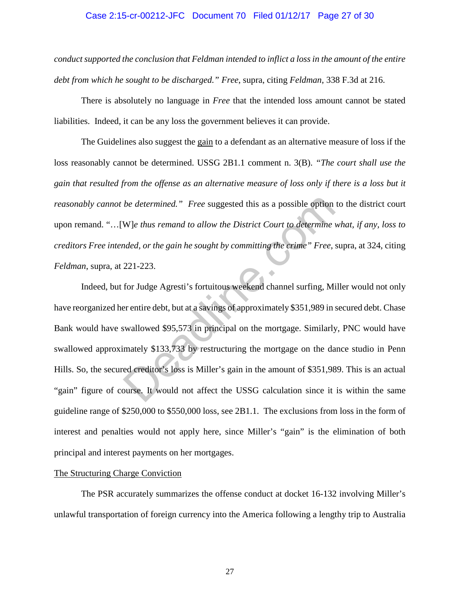### Case 2:15-cr-00212-JFC Document 70 Filed 01/12/17 Page 27 of 30

*conduct supported the conclusion that Feldman intended to inflict a loss in the amount of the entire debt from which he sought to be discharged." Free*, supra, citing *Feldman*, 338 F.3d at 216.

There is absolutely no language in *Free* that the intended loss amount cannot be stated liabilities. Indeed, it can be any loss the government believes it can provide.

The Guidelines also suggest the gain to a defendant as an alternative measure of loss if the loss reasonably cannot be determined. USSG 2B1.1 comment n. 3(B). *"The court shall use the gain that resulted from the offense as an alternative measure of loss only if there is a loss but it reasonably cannot be determined." Free* suggested this as a possible option to the district court upon remand. "…[W]*e thus remand to allow the District Court to determine what, if any, loss to creditors Free intended, or the gain he sought by committing the crime" Free*, supra, at 324, citing *Feldman*, supra, at 221-223.

Indeed, but for Judge Agresti's fortuitous weekend channel surfing, Miller would not only have reorganized her entire debt, but at a savings of approximately \$351,989 in secured debt. Chase Bank would have swallowed \$95,573 in principal on the mortgage. Similarly, PNC would have swallowed approximately \$133,733 by restructuring the mortgage on the dance studio in Penn Hills. So, the secured creditor's loss is Miller's gain in the amount of \$351,989. This is an actual "gain" figure of course. It would not affect the USSG calculation since it is within the same guideline range of \$250,000 to \$550,000 loss, see 2B1.1. The exclusions from loss in the form of interest and penalties would not apply here, since Miller's "gain" is the elimination of both principal and interest payments on her mortgages. be determined." Free suggested this as a possible option<br>W]e thus remand to allow the District Court to determine<br>and to allow the District Court to determine<br>and the crime." Free, 221-223.<br>For Judge Agresti's fortuitous w

### The Structuring Charge Conviction

The PSR accurately summarizes the offense conduct at docket 16-132 involving Miller's unlawful transportation of foreign currency into the America following a lengthy trip to Australia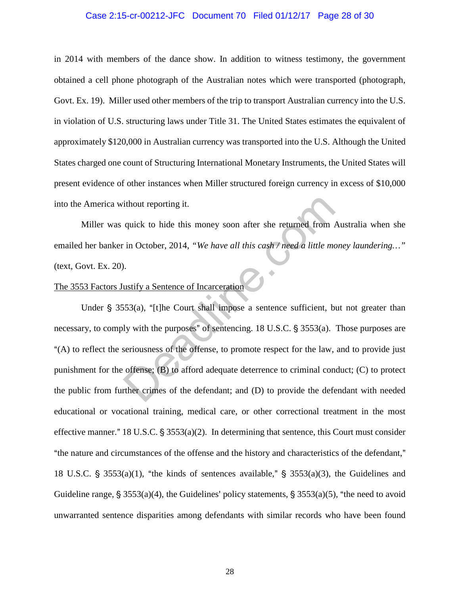# Case 2:15-cr-00212-JFC Document 70 Filed 01/12/17 Page 28 of 30

in 2014 with members of the dance show. In addition to witness testimony, the government obtained a cell phone photograph of the Australian notes which were transported (photograph, Govt. Ex. 19). Miller used other members of the trip to transport Australian currency into the U.S. in violation of U.S. structuring laws under Title 31. The United States estimates the equivalent of approximately \$120,000 in Australian currency was transported into the U.S. Although the United States charged one count of Structuring International Monetary Instruments, the United States will present evidence of other instances when Miller structured foreign currency in excess of \$10,000 into the America without reporting it.

Miller was quick to hide this money soon after she returned from Australia when she emailed her banker in October, 2014, *"We have all this cash / need a little money laundering…"* (text, Govt. Ex. 20).

# The 3553 Factors Justify a Sentence of Incarceration

Under  $\S$  3553(a), "[t]he Court shall impose a sentence sufficient, but not greater than necessary, to comply with the purposes" of sentencing.  $18 \text{ U.S.C.}$   $\S$  3553(a). Those purposes are A(A) to reflect the seriousness of the offense, to promote respect for the law, and to provide just punishment for the offense; (B) to afford adequate deterrence to criminal conduct; (C) to protect the public from further crimes of the defendant; and (D) to provide the defendant with needed educational or vocational training, medical care, or other correctional treatment in the most effective manner." 18 U.S.C.  $\S 3553(a)(2)$ . In determining that sentence, this Court must consider "the nature and circumstances of the offense and the history and characteristics of the defendant," 18 U.S.C.  $\S$  3553(a)(1), "the kinds of sentences available,"  $\S$  3553(a)(3), the Guidelines and Guideline range,  $\frac{5}{5}$  3553(a)(4), the Guidelines' policy statements,  $\frac{5}{5}$  3553(a)(5), "the need to avoid unwarranted sentence disparities among defendants with similar records who have been found it thout reporting it.<br>
quick to hide this money soon after she returned from  $\mu$ <br>
in October, 2014, "We have all this cash / need a little monthly a Sentence of Incarceration<br>
...<br>
ustify a Sentence of Incarceration<br>
53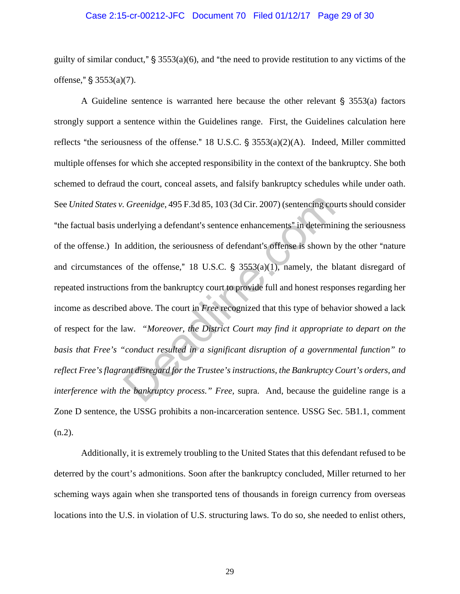# Case 2:15-cr-00212-JFC Document 70 Filed 01/12/17 Page 29 of 30

guilty of similar conduct,"  $\S$  3553(a)(6), and "the need to provide restitution to any victims of the offense,"  $\S 3553(a)(7)$ .

A Guideline sentence is warranted here because the other relevant  $\S$  3553(a) factors strongly support a sentence within the Guidelines range. First, the Guidelines calculation here reflects "the seriousness of the offense." 18 U.S.C.  $\frac{2}{3}$  3553(a)(2)(A). Indeed, Miller committed multiple offenses for which she accepted responsibility in the context of the bankruptcy. She both schemed to defraud the court, conceal assets, and falsify bankruptcy schedules while under oath. See *United States v. Greenidge*, 495 F.3d 85, 103 (3d Cir. 2007) (sentencing courts should consider "the factual basis underlying a defendant's sentence enhancements" in determining the seriousness of the offense.) In addition, the seriousness of defendant's offense is shown by the other "nature" and circumstances of the offense," 18 U.S.C.  $\frac{1}{5}$  3553(a)(1), namely, the blatant disregard of repeated instructions from the bankruptcy court to provide full and honest responses regarding her income as described above. The court in *Free* recognized that this type of behavior showed a lack of respect for the law*. "Moreover, the District Court may find it appropriate to depart on the basis that Free's "conduct resulted in a significant disruption of a governmental function" to reflect Free's flagrant disregard for the Trustee's instructions, the Bankruptcy Court's orders, and interference with the bankruptcy process." Free,* supra. And, because the guideline range is a Zone D sentence, the USSG prohibits a non-incarceration sentence. USSG Sec. 5B1.1, comment (n.2). Greenidge, 495 F.3d 85, 103 (3d Cir. 2007) (sentencing counderlying a defendant's sentence enhancements" in determinaddition, the seriousness of defendant's offense is shown to the offense," 18 U.S.C. § 3553(a)(1), namely,

Additionally, it is extremely troubling to the United States that this defendant refused to be deterred by the court's admonitions. Soon after the bankruptcy concluded, Miller returned to her scheming ways again when she transported tens of thousands in foreign currency from overseas locations into the U.S. in violation of U.S. structuring laws. To do so, she needed to enlist others,